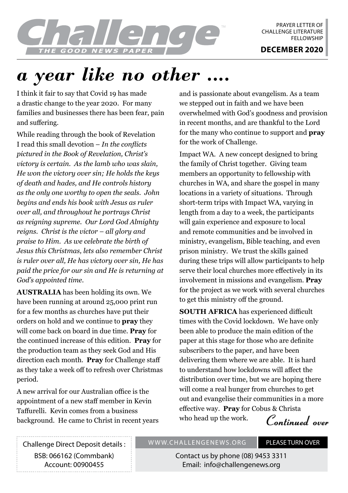

PRAYER LETTER OF CHALLENGE LITERATURE **FFLLOWSHIP** 

## *a year like no other ....*

I think it fair to say that Covid 19 has made a drastic change to the year 2020. For many families and businesses there has been fear, pain and suffering.

While reading through the book of Revelation I read this small devotion – *In the conflicts pictured in the Book of Revelation, Christ's victory is certain. As the lamb who was slain, He won the victory over sin; He holds the keys of death and hades, and He controls history as the only one worthy to open the seals. John begins and ends his book with Jesus as ruler over all, and throughout he portrays Christ as reigning supreme. Our Lord God Almighty reigns. Christ is the victor – all glory and praise to Him. As we celebrate the birth of Jesus this Christmas, lets also remember Christ is ruler over all, He has victory over sin, He has paid the price for our sin and He is returning at God's appointed time.*

**AUSTRALIA** has been holding its own. We have been running at around 25,000 print run for a few months as churches have put their orders on hold and we continue to **pray** they will come back on board in due time. **Pray** for the continued increase of this edition. **Pray** for the production team as they seek God and His direction each month. **Pray** for Challenge staff as they take a week off to refresh over Christmas period.

A new arrival for our Australian office is the appointment of a new staff member in Kevin Taffurelli. Kevin comes from a business background. He came to Christ in recent years and is passionate about evangelism. As a team we stepped out in faith and we have been overwhelmed with God's goodness and provision in recent months, and are thankful to the Lord for the many who continue to support and **pray** for the work of Challenge.

Impact WA. A new concept designed to bring the family of Christ together. Giving team members an opportunity to fellowship with churches in WA, and share the gospel in many locations in a variety of situations. Through short-term trips with Impact WA, varying in length from a day to a week, the participants will gain experience and exposure to local and remote communities and be involved in ministry, evangelism, Bible teaching, and even prison ministry. We trust the skills gained during these trips will allow participants to help serve their local churches more effectively in its involvement in missions and evangelism. **Pray** for the project as we work with several churches to get this ministry off the ground.

**SOUTH AFRICA** has experienced difficult times with the Covid lockdown. We have only been able to produce the main edition of the paper at this stage for those who are definite subscribers to the paper, and have been delivering them where we are able. It is hard to understand how lockdowns will affect the distribution over time, but we are hoping there will come a real hunger from churches to get out and evangelise their communities in a more effective way. **Pray** for Cobus & Christa who head up the work.

**Continued over**

Challenge Direct Deposit details : BSB: 066162 (Commbank) Account: 00900455

## WWW.CHALLENGENEWS.ORG PLEASE TURN OVER

Contact us by phone (08) 9453 3311 Email: info@challengenews.org